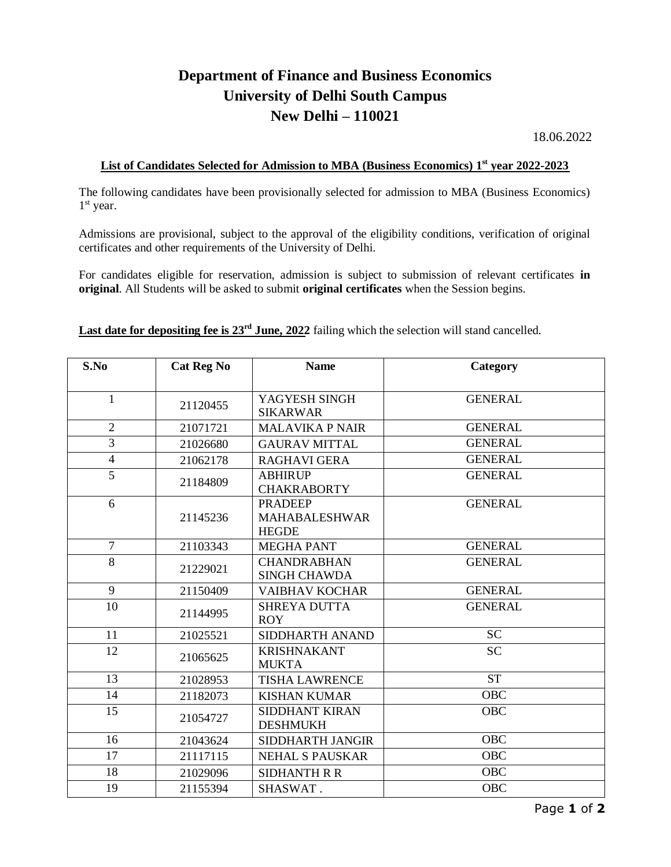## **Department of Finance and Business Economics University of Delhi South Campus New Delhi – 110021**

18.06.2022

## **List of Candidates Selected for Admission to MBA (Business Economics) 1 st year 2022-2023**

The following candidates have been provisionally selected for admission to MBA (Business Economics) 1<sup>st</sup> year.

Admissions are provisional, subject to the approval of the eligibility conditions, verification of original certificates and other requirements of the University of Delhi.

For candidates eligible for reservation, admission is subject to submission of relevant certificates **in original**. All Students will be asked to submit **original certificates** when the Session begins.

**Last date for depositing fee is 23rd June, 2022** failing which the selection will stand cancelled.

| S.No           | <b>Cat Reg No</b> | <b>Name</b>                                            | Category       |
|----------------|-------------------|--------------------------------------------------------|----------------|
|                |                   |                                                        |                |
| $\mathbf{1}$   | 21120455          | YAGYESH SINGH<br><b>SIKARWAR</b>                       | <b>GENERAL</b> |
| $\mathbf{2}$   | 21071721          | <b>MALAVIKA P NAIR</b>                                 | <b>GENERAL</b> |
| 3              | 21026680          | <b>GAURAV MITTAL</b>                                   | <b>GENERAL</b> |
| $\overline{4}$ | 21062178          | <b>RAGHAVI GERA</b>                                    | <b>GENERAL</b> |
| $\overline{5}$ | 21184809          | <b>ABHIRUP</b><br><b>CHAKRABORTY</b>                   | <b>GENERAL</b> |
| 6              | 21145236          | <b>PRADEEP</b><br><b>MAHABALESHWAR</b><br><b>HEGDE</b> | <b>GENERAL</b> |
| $\overline{7}$ | 21103343          | <b>MEGHA PANT</b>                                      | <b>GENERAL</b> |
| 8              | 21229021          | <b>CHANDRABHAN</b><br><b>SINGH CHAWDA</b>              | <b>GENERAL</b> |
| 9              | 21150409          | <b>VAIBHAV KOCHAR</b>                                  | <b>GENERAL</b> |
| 10             | 21144995          | <b>SHREYA DUTTA</b><br><b>ROY</b>                      | <b>GENERAL</b> |
| 11             | 21025521          | SIDDHARTH ANAND                                        | <b>SC</b>      |
| 12             | 21065625          | <b>KRISHNAKANT</b><br><b>MUKTA</b>                     | <b>SC</b>      |
| 13             | 21028953          | <b>TISHA LAWRENCE</b>                                  | <b>ST</b>      |
| 14             | 21182073          | <b>KISHAN KUMAR</b>                                    | <b>OBC</b>     |
| 15             | 21054727          | <b>SIDDHANT KIRAN</b><br><b>DESHMUKH</b>               | <b>OBC</b>     |
| 16             | 21043624          | SIDDHARTH JANGIR                                       | <b>OBC</b>     |
| 17             | 21117115          | <b>NEHAL S PAUSKAR</b>                                 | <b>OBC</b>     |
| 18             | 21029096          | <b>SIDHANTH R R</b>                                    | <b>OBC</b>     |
| 19             | 21155394          | SHASWAT.                                               | <b>OBC</b>     |